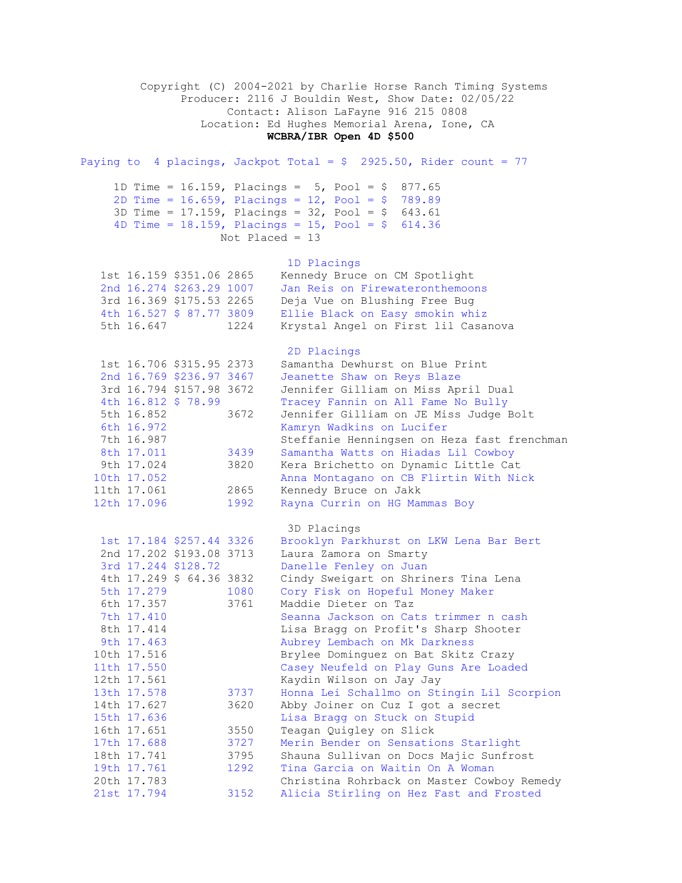Copyright (C) 2004-2021 by Charlie Horse Ranch Timing Systems Producer: 2116 J Bouldin West, Show Date: 02/05/22 Contact: Alison LaFayne 916 215 0808 Location: Ed Hughes Memorial Arena, Ione, CA **WCBRA/IBR Open 4D \$500** Paying to 4 placings, Jackpot Total =  $$ 2925.50$ , Rider count = 77 1D Time =  $16.159$ , Placings =  $5$ , Pool =  $$ 877.65$  2D Time = 16.659, Placings = 12, Pool = \$ 789.89 3D Time = 17.159, Placings = 32, Pool = \$ 643.61 4D Time = 18.159, Placings = 15, Pool = \$ 614.36 Not Placed = 13 1D Placings 1st 16.159 \$351.06 2865 Kennedy Bruce on CM Spotlight 2nd 16.274 \$263.29 1007 Jan Reis on Firewateronthemoons 3rd 16.369 \$175.53 2265 Deja Vue on Blushing Free Bug 4th 16.527 \$ 87.77 3809 Ellie Black on Easy smokin whiz 5th 16.647 1224 Krystal Angel on First lil Casanova 2D Placings 1st 16.706 \$315.95 2373 Samantha Dewhurst on Blue Print 2nd 16.769 \$236.97 3467 Jeanette Shaw on Reys Blaze 3rd 16.794 \$157.98 3672 Jennifer Gilliam on Miss April Dual 4th 16.812 \$ 78.99 Tracey Fannin on All Fame No Bully 5th 16.852 3672 Jennifer Gilliam on JE Miss Judge Bolt 6th 16.972 Kamryn Wadkins on Lucifer 7th 16.987 Steffanie Henningsen on Heza fast frenchman 8th 17.011 3439 Samantha Watts on Hiadas Lil Cowboy 9th 17.024 3820 Kera Brichetto on Dynamic Little Cat 10th 17.052 Anna Montagano on CB Flirtin With Nick 11th 17.061 2865 Kennedy Bruce on Jakk 12th 17.096 1992 Rayna Currin on HG Mammas Boy 3D Placings 1st 17.184 \$257.44 3326 Brooklyn Parkhurst on LKW Lena Bar Bert 2nd 17.202 \$193.08 3713 Laura Zamora on Smarty 3rd 17.244 \$128.72 Danelle Fenley on Juan 4th 17.249 \$ 64.36 3832 Cindy Sweigart on Shriners Tina Lena 5th 17.279 1080 Cory Fisk on Hopeful Money Maker 6th 17.357 3761 Maddie Dieter on Taz 7th 17.410 Seanna Jackson on Cats trimmer n cash 8th 17.414 Lisa Bragg on Profit's Sharp Shooter 9th 17.463 Aubrey Lembach on Mk Darkness 10th 17.516 Brylee Dominguez on Bat Skitz Crazy 11th 17.550 Casey Neufeld on Play Guns Are Loaded 12th 17.561 Kaydin Wilson on Jay Jay 13th 17.578 3737 Honna Lei Schallmo on Stingin Lil Scorpion 14th 17.627 3620 Abby Joiner on Cuz I got a secret 15th 17.636 Lisa Bragg on Stuck on Stupid<br>16th 17.651 3550 Teagan Quigley on Slick 16th 17.651 3550 Teagan Quigley on Slick 17th 17.688 3727 Merin Bender on Sensations Starlight 18th 17.741 3795 Shauna Sullivan on Docs Majic Sunfrost 19th 17.761 1292 Tina Garcia on Waitin On A Woman<br>19th 17.761 1292 Tina Garcia on Waitin On A Woman 20th 17.783 Christina Rohrback on Master Cowboy Remedy 21st 17.794 3152 Alicia Stirling on Hez Fast and Frosted